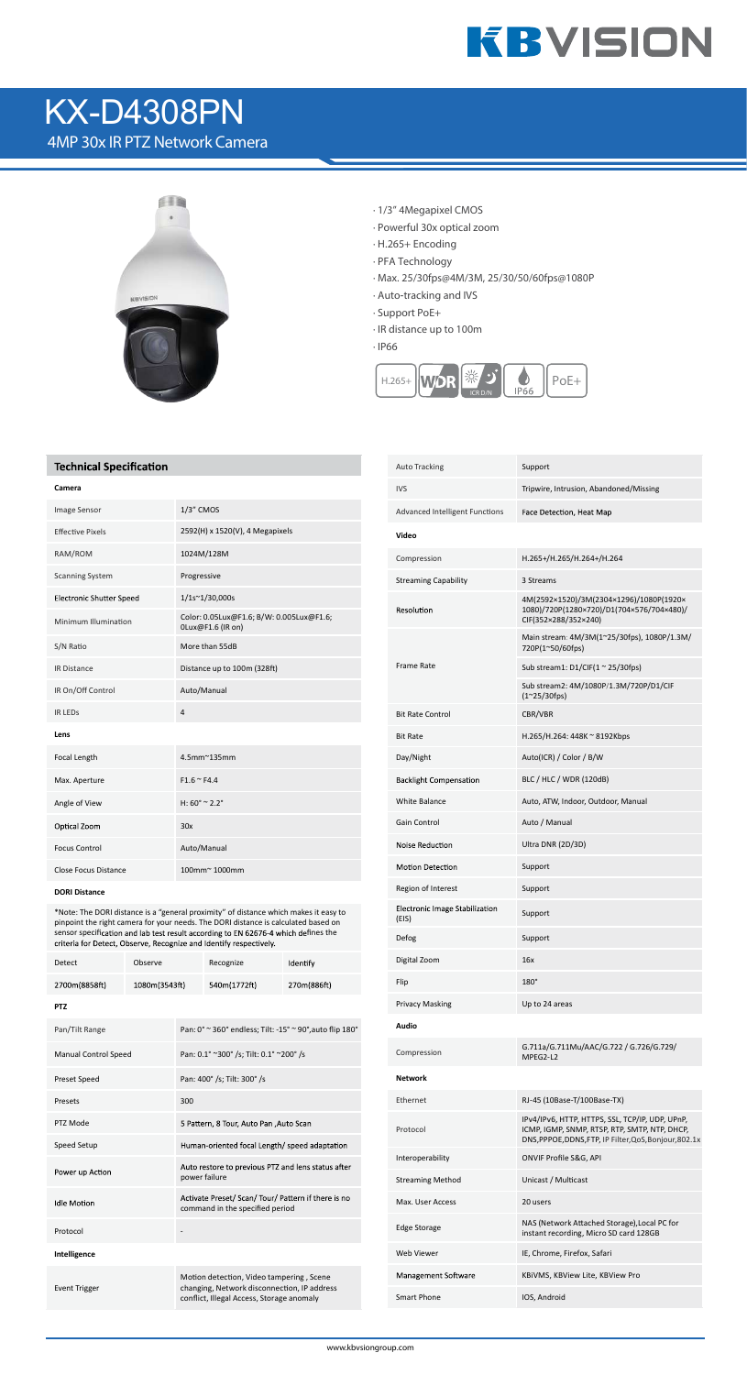

# KX-D4308PN

4MP 30x IR PTZ Network Camera



- · 1/3" 4Megapixel CMOS
- · Powerful 30x optical zoom
- · H.265+ Encoding
- · PFA Technology
- · Max. 25/30fps@4M/3M, 25/30/50/60fps@1080P
- · Auto-tracking and IVS
- · Support PoE+
- · IR distance up to 100m

· IP66



### **Technical Specification**

\*Note: The DORI distance is a "general proximity" of distance which makes it easy to pinpoint the right camera for your needs. The DORI distance is calculated based on sensor specification and lab test result according to EN 62676-4 which defines the

| 1/3" CMOS                                                     |
|---------------------------------------------------------------|
| 2592(H) x 1520(V), 4 Megapixels                               |
| 1024M/128M                                                    |
| Progressive                                                   |
| 1/1s~1/30,000s                                                |
| Color: 0.05Lux@F1.6; B/W: 0.005Lux@F1.6;<br>0Lux@F1.6 (IR on) |
| More than 55dB                                                |
| Distance up to 100m (328ft)                                   |
| Auto/Manual                                                   |
| $\overline{a}$                                                |
|                                                               |
| 4.5mm~135mm                                                   |
| $F1.6 \cong F4.4$                                             |
| H: $60^{\circ}$ ~ 2.2°                                        |
| 30x                                                           |
| Auto/Manual                                                   |
| 100mm~1000mm                                                  |
|                                                               |

#### **DORI Distance**

| Detect                      | Observe       |                                         | Recognize                                                                                                                            | Identify    |
|-----------------------------|---------------|-----------------------------------------|--------------------------------------------------------------------------------------------------------------------------------------|-------------|
| 2700m(8858ft)               | 1080m(3543ft) |                                         | 540m(1772ft)                                                                                                                         | 270m(886ft) |
| <b>PTZ</b>                  |               |                                         |                                                                                                                                      |             |
| Pan/Tilt Range              |               |                                         | Pan: 0° ~ 360° endless; Tilt: -15° ~ 90°, auto flip 180°                                                                             |             |
| <b>Manual Control Speed</b> |               | Pan: 0.1° ~300° /s; Tilt: 0.1° ~200° /s |                                                                                                                                      |             |
| Preset Speed                |               |                                         | Pan: 400° /s; Tilt: 300° /s                                                                                                          |             |
| Presets                     |               | 300                                     |                                                                                                                                      |             |
| PTZ Mode                    |               |                                         | 5 Pattern, 8 Tour, Auto Pan, Auto Scan                                                                                               |             |
| Speed Setup                 |               |                                         | Human-oriented focal Length/ speed adaptation                                                                                        |             |
| Power up Action             |               | power failure                           | Auto restore to previous PTZ and lens status after                                                                                   |             |
| <b>Idle Motion</b>          |               |                                         | Activate Preset/ Scan/ Tour/ Pattern if there is no<br>command in the specified period                                               |             |
| Protocol                    |               |                                         |                                                                                                                                      |             |
| Intelligence                |               |                                         |                                                                                                                                      |             |
| <b>Event Trigger</b>        |               |                                         | Motion detection, Video tampering, Scene<br>changing, Network disconnection, IP address<br>conflict, Illegal Access, Storage anomaly |             |

| <b>Auto Tracking</b>                    | Support                                                                                                      |
|-----------------------------------------|--------------------------------------------------------------------------------------------------------------|
| <b>IVS</b>                              | Tripwire, Intrusion, Abandoned/Missing                                                                       |
| Advanced Intelligent Functions          | Face Detection, Heat Map                                                                                     |
| Video                                   |                                                                                                              |
| Compression                             | H.265+/H.265/H.264+/H.264                                                                                    |
| <b>Streaming Capability</b>             | 3 Streams                                                                                                    |
| Resolution                              | 4M(2592×1520)/3M(2304×1296)/1080P(1920×<br>1080)/720P(1280×720)/D1(704×576/704×480)/<br>CIF(352×288/352×240) |
| Frame Rate                              | Main stream: 4M/3M(1~25/30fps), 1080P/1.3M/<br>720P(1~50/60fps)                                              |
|                                         | Sub stream1: D1/CIF(1 ~ 25/30fps)                                                                            |
|                                         | Sub stream2: 4M/1080P/1.3M/720P/D1/CIF<br>$(1^{\sim}25/30$ fps)                                              |
| <b>Bit Rate Control</b>                 | CBR/VBR                                                                                                      |
| <b>Bit Rate</b>                         | H.265/H.264: 448K ~ 8192Kbps                                                                                 |
| Day/Night                               | Auto(ICR) / Color / B/W                                                                                      |
| <b>Backlight Compensation</b>           | BLC / HLC / WDR (120dB)                                                                                      |
| <b>White Balance</b>                    | Auto, ATW, Indoor, Outdoor, Manual                                                                           |
| <b>Gain Control</b>                     | Auto / Manual                                                                                                |
| Noise Reduction                         | Ultra DNR (2D/3D)                                                                                            |
| Motion Detection                        | Support                                                                                                      |
| Region of Interest                      | Support                                                                                                      |
| Electronic Image Stabilization<br>(EIS) | Support                                                                                                      |
| Defog                                   | Support                                                                                                      |
| Digital Zoom                            | 16x                                                                                                          |
| Flip                                    | $180^\circ$                                                                                                  |
| <b>Privacy Masking</b>                  | Up to 24 areas                                                                                               |
| Audio                                   |                                                                                                              |
| Compression                             | G.711a/G.711Mu/AAC/G.722 / G.726/G.729/<br>MPEG2-L2                                                          |
| <b>Network</b>                          |                                                                                                              |

| Ethernet                | RJ-45 (10Base-T/100Base-TX)                                                                                                                                |
|-------------------------|------------------------------------------------------------------------------------------------------------------------------------------------------------|
| Protocol                | IPv4/IPv6, HTTP, HTTPS, SSL, TCP/IP, UDP, UPnP,<br>ICMP, IGMP, SNMP, RTSP, RTP, SMTP, NTP, DHCP,<br>DNS, PPPOE, DDNS, FTP, IP Filter, QoS, Bonjour, 802.1x |
| Interoperability        | ONVIF Profile S&G, API                                                                                                                                     |
| <b>Streaming Method</b> | Unicast / Multicast                                                                                                                                        |
| Max. User Access        | 20 users                                                                                                                                                   |
| <b>Edge Storage</b>     | NAS (Network Attached Storage), Local PC for<br>instant recording, Micro SD card 128GB                                                                     |
| Web Viewer              | IE, Chrome, Firefox, Safari                                                                                                                                |
| Management Software     | KBIVMS, KBView Lite, KBView Pro                                                                                                                            |
| Smart Phone             | IOS, Android                                                                                                                                               |